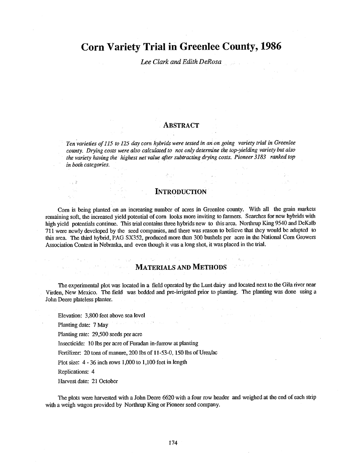# Corn Variety Trial in Greenlee County, 1986

### Lee Clark and Edith DeRosa

#### **ABSTRACT**

Ten varieties of 115 to 125 day corn hybrids were tested in an on going variety trial in Greenlee county. Drying costs were also calculated to not only determine the top-yielding variety but also the variety having the highest net value after subtracting drying costs. Pioneer 3183 ranked top in both categories.

#### INTRODUCTION

Corn is being planted on an increasing number of acres in Greenlee county. With all the grain markets remaining soft, the increased yield potential of corn looks more inviting to farmers. Searches for new hybrids with high yield potentials continue. This trial contains three hybrids new to this area. Northrup King 9540 and DeKalb 711 were newly developed by the seed companies, and there was reason to believe that they would be adapted to this area. The third hybrid, PAG SX352, produced more than 300 bushels per acre in the National Corn Growers Association Contest in Nebraska, and even though it was a long shot, it was placed in the trial.

#### MATERIALS AND METHODS

The experimental plot was located in a field operated by the Lunt dairy and located next to the Gila river near Virden, New Mexico. The field was bedded and pre -irrigated prior to planting. The planting was done using a John Deere plateless planter.

Elevation: 3,800 feet above sea level

Planting date: 7 May

Planting rate: 29,500 seeds per acre

Insecticide: 10 lbs per acre of Furadan in- furrow at planting

Fertilizer: 20 tons of manure, 200 lbs of 11-53-0, 150 lbs of Urea/ac

Plot size: 4 - 36 inch rows 1,000 to 1,100 feet in length

i eta solo

Replications: 4

Harvest date: 21 October

The plots were harvested with a John Deere 6620 with a four row header and weighed at the end of each strip with a weigh wagon provided by Northrup King or Pioneer seed company.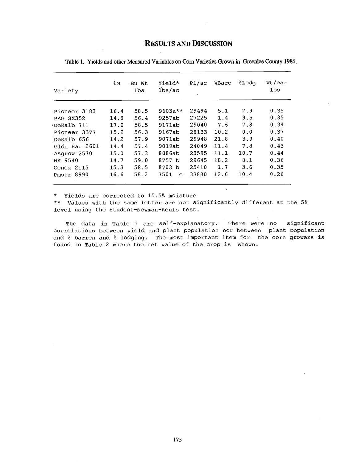## RESULTS AND DISCUSSION

| Variety       | န္M  | Bu Wt<br><b>lbs</b> | Yield*<br>lbs/ac     | P1/ac | %Bare | <b>SLodg</b> | Wt/ear<br>lbs |
|---------------|------|---------------------|----------------------|-------|-------|--------------|---------------|
| Pioneer 3183  | 16.4 | 58.5                | $9603a**$            | 29494 | 5.1   | 2.9          | 0.35          |
| PAG SX352     | 14.8 | 56.4                | 9257ab               | 27225 | 1.4   | 9.5          | 0.35          |
| DeKalb 711    | 17.0 | 58.5                | 9171ab               | 29040 | 7.6   | 7.8          | 0.34          |
| Pioneer 3377  | 15.2 | 56.3                | 9167ab               | 28133 | 10.2  | 0.0          | 0.37          |
| DeKalb 656    | 14.2 | 57.9                | 9071ab               | 29948 | 21.8  | 3.9          | 0.40          |
| Gldn Har 2601 | 14.4 | 57.4                | 9019ab               | 24049 | 11.4  | 7.8          | 0.43          |
| Asgrow 2570   | 15.0 | 57.3                | 8886ab               | 23595 | 11.1  | 10.7         | 0.44          |
| NK 9540       | 14.7 | 59.0                | 8757 b               | 29645 | 18.2  | 8.1          | 0.36          |
| Cenex 2115    | 15.3 | 58.5                | 8703 b               | 25410 | 1.7   | 3.6          | 0.35          |
| Pmstr 8990    | 16.6 | 58.2                | 7501<br>$\mathbf{C}$ | 33880 | 12.6  | 10.4         | 0.26          |

Table 1. Yields and other Measured Variables on Corn Varieties Grown in Greenlee County 1986.

\* Yields are corrected to 15.5% moisture

\*\* Values with the same letter are not significantly different at the 5% level using the Student -Newman -Keuls test.

The data in Table 1 are self-explanatory. There were no significant correlations between yield and plant population nor between plant population and % barren and % lodging. The most important item for the corn growers is found in Table 2 where the net value of the crop is shown.

 $\mathbf{r}$